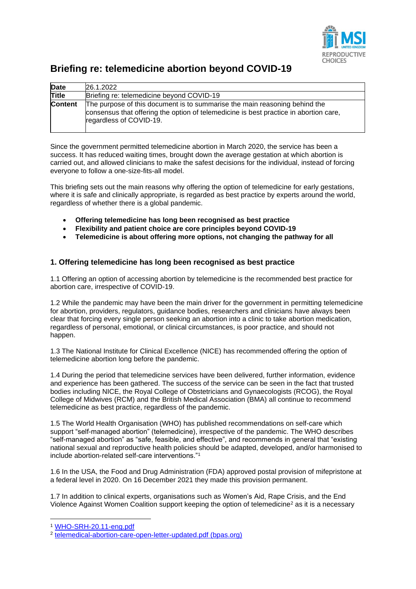

## **Briefing re: telemedicine abortion beyond COVID-19**

| Date           | 26.1.2022                                                                                                                                                                                      |
|----------------|------------------------------------------------------------------------------------------------------------------------------------------------------------------------------------------------|
| Title          | Briefing re: telemedicine beyond COVID-19                                                                                                                                                      |
| <b>Content</b> | The purpose of this document is to summarise the main reasoning behind the<br>consensus that offering the option of telemedicine is best practice in abortion care,<br>regardless of COVID-19. |

Since the government permitted telemedicine abortion in March 2020, the service has been a success. It has reduced waiting times, brought down the average gestation at which abortion is carried out, and allowed clinicians to make the safest decisions for the individual, instead of forcing everyone to follow a one-size-fits-all model.

This briefing sets out the main reasons why offering the option of telemedicine for early gestations, where it is safe and clinically appropriate, is regarded as best practice by experts around the world, regardless of whether there is a global pandemic.

- **Offering telemedicine has long been recognised as best practice**
- **Flexibility and patient choice are core principles beyond COVID-19**
- **Telemedicine is about offering more options, not changing the pathway for all**

## **1. Offering telemedicine has long been recognised as best practice**

1.1 Offering an option of accessing abortion by telemedicine is the recommended best practice for abortion care, irrespective of COVID-19.

1.2 While the pandemic may have been the main driver for the government in permitting telemedicine for abortion, providers, regulators, guidance bodies, researchers and clinicians have always been clear that forcing every single person seeking an abortion into a clinic to take abortion medication, regardless of personal, emotional, or clinical circumstances, is poor practice, and should not happen.

1.3 The National Institute for Clinical Excellence (NICE) has recommended offering the option of telemedicine abortion long before the pandemic.

1.4 During the period that telemedicine services have been delivered, further information, evidence and experience has been gathered. The success of the service can be seen in the fact that trusted bodies including NICE, the Royal College of Obstetricians and Gynaecologists (RCOG), the Royal College of Midwives (RCM) and the British Medical Association (BMA) all continue to recommend telemedicine as best practice, regardless of the pandemic.

1.5 The World Health Organisation (WHO) has published recommendations on self-care which support "self-managed abortion" (telemedicine), irrespective of the pandemic. The WHO describes "self-managed abortion" as "safe, feasible, and effective", and recommends in general that "existing national sexual and reproductive health policies should be adapted, developed, and/or harmonised to include abortion-related self-care interventions."<sup>1</sup>

1.6 In the USA, the Food and Drug Administration (FDA) approved postal provision of mifepristone at a federal level in 2020. On 16 December 2021 they made this provision permanent.

1.7 In addition to clinical experts, organisations such as Women's Aid, Rape Crisis, and the End Violence Against Women Coalition support keeping the option of telemedicine<sup>2</sup> as it is a necessary

<sup>1</sup> [WHO-SRH-20.11-eng.pdf](file:///C:/Users/mccuddenl/Downloads/WHO-SRH-20.11-eng.pdf)

<sup>2</sup> [telemedical-abortion-care-open-letter-updated.pdf \(bpas.org\)](https://www.bpas.org/media/3473/telemedical-abortion-care-open-letter-updated.pdf)